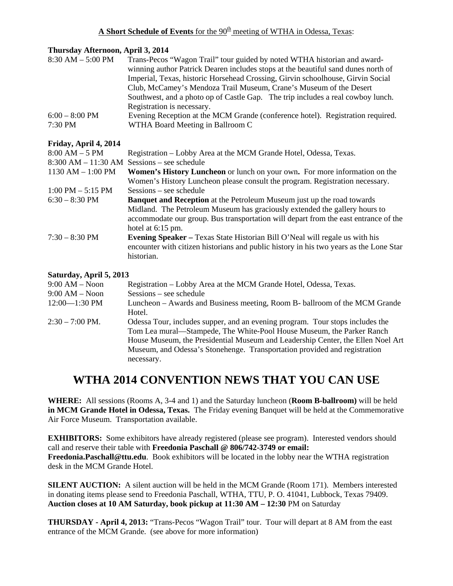## **Thursday Afternoon, April 3, 2014**

| $8:30$ AM $-5:00$ PM                 | Trans-Pecos "Wagon Trail" tour guided by noted WTHA historian and award-          |
|--------------------------------------|-----------------------------------------------------------------------------------|
|                                      | winning author Patrick Dearen includes stops at the beautiful sand dunes north of |
|                                      | Imperial, Texas, historic Horsehead Crossing, Girvin schoolhouse, Girvin Social   |
|                                      | Club, McCamey's Mendoza Trail Museum, Crane's Museum of the Desert                |
|                                      | Southwest, and a photo op of Castle Gap. The trip includes a real cowboy lunch.   |
|                                      | Registration is necessary.                                                        |
| $6:00 - 8:00$ PM                     | Evening Reception at the MCM Grande (conference hotel). Registration required.    |
| 7:30 PM                              | WTHA Board Meeting in Ballroom C                                                  |
| $E_{11} = 1 - 1 - 1$ $A = 1$ $A = 1$ |                                                                                   |

## **Friday, April 4, 2014**

| $8:00 AM - 5 PM$                    | Registration – Lobby Area at the MCM Grande Hotel, Odessa, Texas.                      |
|-------------------------------------|----------------------------------------------------------------------------------------|
| $8:300$ AM $- 11:30$ AM             | $S \lessdot \text{ssions}$ – see schedule                                              |
| $1130$ AM $- 1:00$ PM               | <b>Women's History Luncheon</b> or lunch on your own. For more information on the      |
|                                     | Women's History Luncheon please consult the program. Registration necessary.           |
| $1:00 \text{ PM} - 5:15 \text{ PM}$ | $S \lessdot \space$ Sessions – see schedule                                            |
| $6:30 - 8:30$ PM                    | <b>Banquet and Reception</b> at the Petroleum Museum just up the road towards          |
|                                     | Midland. The Petroleum Museum has graciously extended the gallery hours to             |
|                                     | accommodate our group. Bus transportation will depart from the east entrance of the    |
|                                     | hotel at $6:15$ pm.                                                                    |
| $7:30 - 8:30$ PM                    | <b>Evening Speaker</b> – Texas State Historian Bill O'Neal will regale us with his     |
|                                     | encounter with citizen historians and public history in his two years as the Lone Star |
|                                     | historian.                                                                             |
|                                     |                                                                                        |

## **Saturday, April 5, 2013**

| $9:00 AM - N$ oon         | Registration – Lobby Area at the MCM Grande Hotel, Odessa, Texas.                                                                                                                                                                                                                                                                    |
|---------------------------|--------------------------------------------------------------------------------------------------------------------------------------------------------------------------------------------------------------------------------------------------------------------------------------------------------------------------------------|
| $9:00 AM - N$ oon         | $S$ essions – see schedule                                                                                                                                                                                                                                                                                                           |
| $12:00 - 1:30$ PM         | Luncheon – Awards and Business meeting, Room B- ballroom of the MCM Grande                                                                                                                                                                                                                                                           |
|                           | Hotel.                                                                                                                                                                                                                                                                                                                               |
| $2:30 - 7:00 \text{ PM}.$ | Odessa Tour, includes supper, and an evening program. Tour stops includes the<br>Tom Lea mural—Stampede, The White-Pool House Museum, the Parker Ranch<br>House Museum, the Presidential Museum and Leadership Center, the Ellen Noel Art<br>Museum, and Odessa's Stonehenge. Transportation provided and registration<br>necessary. |

# **WTHA 2014 CONVENTION NEWS THAT YOU CAN USE**

**WHERE:** All sessions (Rooms A, 3-4 and 1) and the Saturday luncheon (**Room B-ballroom)** will be held **in MCM Grande Hotel in Odessa, Texas.** The Friday evening Banquet will be held at the Commemorative Air Force Museum. Transportation available.

**EXHIBITORS:** Some exhibitors have already registered (please see program). Interested vendors should call and reserve their table with **Freedonia Paschall @ 806/742-3749 or email: Freedonia.Paschall@ttu.edu**. Book exhibitors will be located in the lobby near the WTHA registration desk in the MCM Grande Hotel.

**SILENT AUCTION:** A silent auction will be held in the MCM Grande (Room 171). Members interested in donating items please send to Freedonia Paschall, WTHA, TTU, P. O. 41041, Lubbock, Texas 79409. **Auction closes at 10 AM Saturday, book pickup at 11:30 AM – 12:30** PM on Saturday

**THURSDAY - April 4, 2013:** "Trans-Pecos "Wagon Trail" tour. Tour will depart at 8 AM from the east entrance of the MCM Grande. (see above for more information)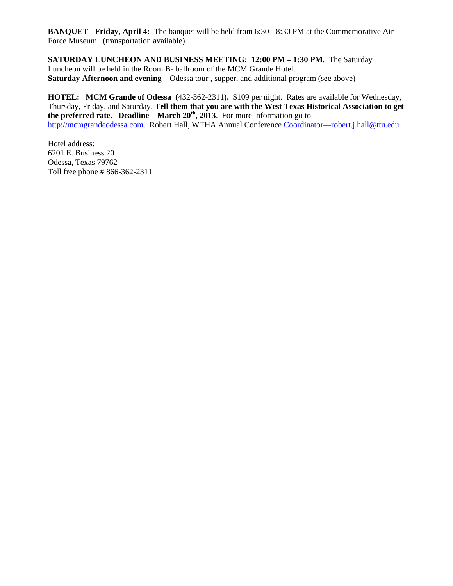**BANQUET - Friday, April 4:** The banquet will be held from 6:30 - 8:30 PM at the Commemorative Air Force Museum. (transportation available).

**SATURDAY LUNCHEON AND BUSINESS MEETING: 12:00 PM – 1:30 PM**. The Saturday Luncheon will be held in the Room B- ballroom of the MCM Grande Hotel. **Saturday Afternoon and evening** – Odessa tour, supper, and additional program (see above)

**HOTEL: MCM Grande of Odessa (**432-362-2311**).** \$109 per night. Rates are available for Wednesday, Thursday, Friday, and Saturday. **Tell them that you are with the West Texas Historical Association to get the preferred rate. Deadline – March 20th, 2013**. For more information go to [http://mcmgrandeodessa.com.](http://mcmgrandeodessa.com/) Robert Hall, WTHA Annual Conference [Coordinator—robert.j.hall@ttu.edu](mailto:Coordinator—robert.j.hall@ttu.edu)

Hotel address: 6201 E. Business 20 Odessa, Texas 79762 Toll free phone # 866-362-2311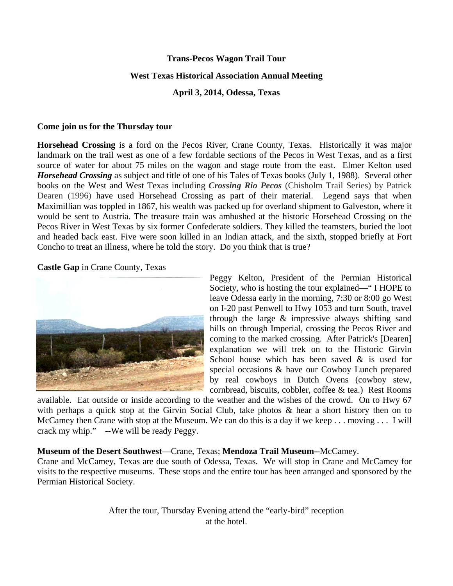#### **Trans-Pecos Wagon Trail Tour**

#### **West Texas Historical Association Annual Meeting**

**April 3, 2014, Odessa, Texas**

### **Come join us for the Thursday tour**

**Horsehead Crossing** is a ford on the [Pecos River,](http://en.wikipedia.org/wiki/Pecos_River) [Crane County, Texas.](http://en.wikipedia.org/wiki/Crane_County,_Texas) Historically it was major landmark on the trail west as one of a few fordable sections of the Pecos in [West Texas,](http://en.wikipedia.org/wiki/West_Texas) and as a first source of water for about 75 miles on the wagon and stage route from the east. Elmer Kelton used *Horsehead Crossing* as subject and title of one of his Tales of Texas books (July 1, 1988). Several other books on the West and West Texas including *Crossing Rio Pecos* (Chisholm Trail Series) by Patrick Dearen (1996) have used Horsehead Crossing as part of their material. Legend says that when Maximillian was toppled in 1867, his wealth was packed up for overland shipment to Galveston, where it would be sent to Austria. The treasure train was ambushed at the historic Horsehead Crossing on the Pecos River in West Texas by six former Confederate soldiers. They killed the teamsters, buried the loot and headed back east. Five were soon killed in an Indian attack, and the sixth, stopped briefly at Fort Concho to treat an illness, where he told the story. Do you think that is true?

**Castle Gap** in Crane County, Texas



Peggy Kelton, President of the Permian Historical Society, who is hosting the tour explained—" I HOPE to leave Odessa early in the morning, 7:30 or 8:00 go West on I-20 past Penwell to Hwy 1053 and turn South, travel through the large & impressive always shifting sand hills on through Imperial, crossing the Pecos River and coming to the marked crossing. After Patrick's [Dearen] explanation we will trek on to the Historic Girvin School house which has been saved & is used for special occasions & have our Cowboy Lunch prepared by real cowboys in Dutch Ovens (cowboy stew, cornbread, biscuits, cobbler, coffee & tea.) Rest Rooms

available. Eat outside or inside according to the weather and the wishes of the crowd. On to Hwy 67 with perhaps a quick stop at the Girvin Social Club, take photos & hear a short history then on to McCamey then Crane with stop at the Museum. We can do this is a day if we keep . . . moving . . . I will crack my whip." --We will be ready Peggy.

## **Museum of the Desert Southwest**—Crane, Texas; **Mendoza Trail Museum**--McCamey.

Crane and McCamey, Texas are due south of Odessa, Texas. We will stop in Crane and McCamey for visits to the respective museums. These stops and the entire tour has been arranged and sponsored by the Permian Historical Society.

> After the tour, Thursday Evening attend the "early-bird" reception at the hotel.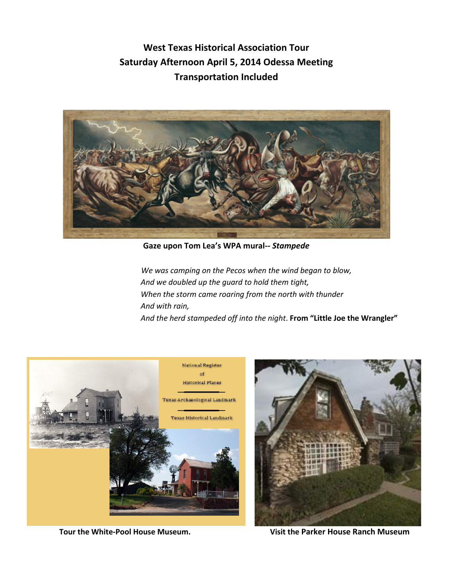**West Texas Historical Association Tour Saturday Afternoon April 5, 2014 Odessa Meeting Transportation Included**



**Gaze upon Tom Lea's WPA mural--** *Stampede*

 *We was camping on the Pecos when the wind began to blow, And we doubled up the guard to hold them tight, When the storm came roaring from the north with thunder And with rain, And the herd stampeded off into the night*. **From "Little Joe the Wrangler"**



 **Tour the White-Pool House Museum. Visit the Parker House Ranch Museum**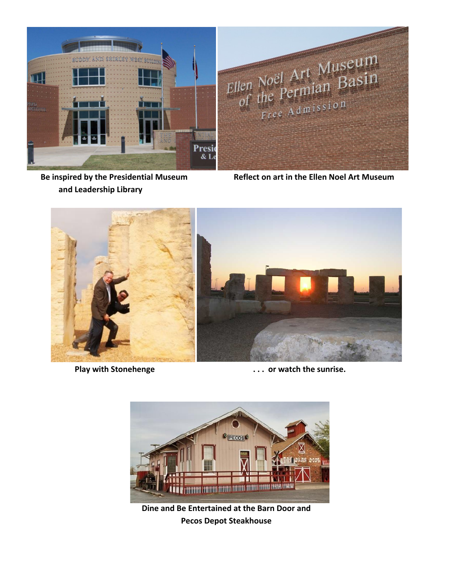

 **and Leadership Library**

 **Be inspired by the Presidential Museum Reflect on art in the Ellen Noel Art Museum**



Play with Stonehenge *Blay* with Stonehenge *Reserve the sunrise. Reserve the sunrise.* 



**Dine and Be Entertained at the Barn Door and Pecos Depot Steakhouse**